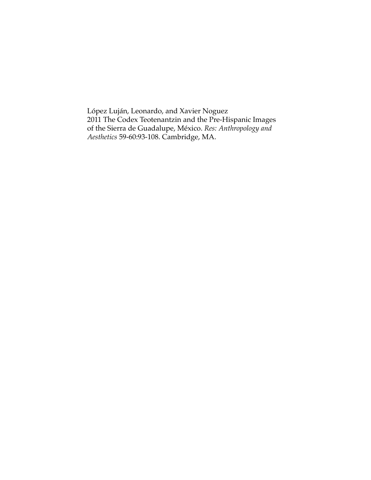López Luján, Leonardo, and Xavier Noguez 2011 The Codex Teotenantzin and the Pre-Hispanic Images of the Sierra de Guadalupe, México. *Res: Anthropology and Aesthetics* 59-60:93-108. Cambridge, MA.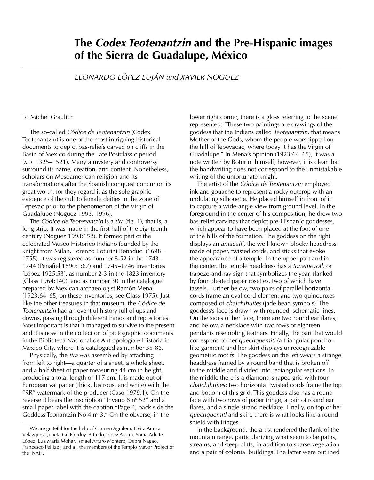# **The** *Codex Teotenantzin* **and the Pre-Hispanic images of the Sierra de Guadalupe, México**

*Leonardo López Luján and Xavier Noguez*

# To Michel Graulich

The so-called *Códice de Teotenantzin* (Codex Teotenantzin) is one of the most intriguing historical documents to depict bas-reliefs carved on cliffs in the Basin of Mexico during the Late Postclassic period  $(A.D. 1325-1521)$ . Many a mystery and controversy surround its name, creation, and content. Nonetheless, scholars on Mesoamerican religion and its transformations after the Spanish conquest concur on its great worth, for they regard it as the sole graphic evidence of the cult to female deities in the zone of Tepeyac prior to the phenomenon of the Virgin of Guadalupe (Noguez 1993, 1996).

The *Códice de Teotenantzin* is a *tira* (fig. 1), that is, a long strip. It was made in the first half of the eighteenth century (Noguez 1993:152). It formed part of the celebrated Museo Histórico Indiano founded by the knight from Milan, Lorenzo Boturini Benaduci (1698– 1755). It was registered as number 8-52 in the 1743– 1744 (Peñafiel 1890:1:67) and 1745–1746 inventories (López 1925:53), as number 2-3 in the 1823 inventory (Glass 1964:140), and as number 30 in the catalogue prepared by Mexican archaeologist Ramón Mena (1923:64–65; on these inventories, see Glass 1975). Just like the other treasures in that museum, the *Códice de Teotenantzin* had an eventful history full of ups and downs, passing through different hands and repositories. Most important is that it managed to survive to the present and it is now in the collection of pictographic documents in the Biblioteca Nacional de Antropología e Historia in Mexico City, where it is catalogued as number 35-86.

Physically, the *tira* was assembled by attaching from left to right—a quarter of a sheet, a whole sheet, and a half sheet of paper measuring 44 cm in height, producing a total length of 117 cm. It is made out of European vat paper (thick, lustrous, and white) with the "RR" watermark of the producer (Caso 1979:1). On the reverse it bears the inscription "Inveno 8  $n^{\circ}$  52" and a small paper label with the caption "Page 4, back side the Goddess Teonantzin  $\mathbb{H}^1_0$  and  $\mathbb{R}^n$ . On the obverse, in the

lower right corner, there is a gloss referring to the scene represented: "These two paintings are drawings of the goddess that the Indians called *Teotenantzin,* that means Mother of the Gods, whom the people worshipped on the hill of Tepeyacac, where today it has the Virgin of Guadalupe." In Mena's opinion (1923:64–65), it was a note written by Boturini himself; however, it is clear that the handwriting does not correspond to the unmistakable writing of the unfortunate knight.

The artist of the *Códice de Teotenantzin* employed ink and gouache to represent a rocky outcrop with an undulating silhouette. He placed himself in front of it to capture a wide-angle view from ground level. In the foreground in the center of his composition, he drew two bas-relief carvings that depict pre-Hispanic goddesses, which appear to have been placed at the foot of one of the hills of the formation. The goddess on the right displays an *amacalli,* the well-known blocky headdress made of paper, twisted cords, and sticks that evoke the appearance of a temple. In the upper part and in the center, the temple headdress has a *tonameyotl,* or trapeze-and-ray sign that symbolizes the year, flanked by four pleated paper rosettes, two of which have tassels. Further below, two pairs of parallel horizontal cords frame an oval cord element and two quincunxes composed of *chalchihuites* (jade bead symbols). The goddess's face is drawn with rounded, schematic lines. On the sides of her face, there are two round ear flares, and below, a necklace with two rows of eighteen pendants resembling feathers. Finally, the part that would correspond to her *quechquemitl* (a triangular poncholike garment) and her skirt displays unrecognizable geometric motifs. The goddess on the left wears a strange headdress framed by a round band that is broken off in the middle and divided into rectangular sections. In the middle there is a diamond-shaped grid with four *chalchihuites*; two horizontal twisted cords frame the top and bottom of this grid. This goddess also has a round face with two rows of paper fringe, a pair of round ear flares, and a single-strand necklace. Finally, on top of her *quechquemitl* and skirt, there is what looks like a round shield with fringes.

In the background, the artist rendered the flank of the mountain range, particularizing what seem to be paths, streams, and steep cliffs, in addition to sparse vegetation and a pair of colonial buildings. The latter were outlined

We are grateful for the help of Carmen Aguilera, Elvira Araiza Velázquez, Julieta Gil Elorduy, Alfredo López Austin, Sonia Arlette López, Luz María Mohar, Ismael Arturo Montero, Debra Nagao, Francesco Pellizzi, and all the members of the Templo Mayor Project of the INAH.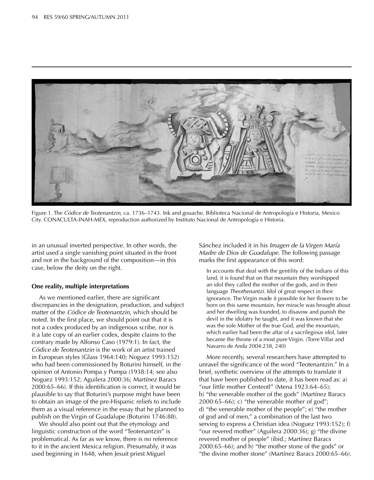

Figure 1. The *Códice de Teotenantzin*, ca. 1736–1743. Ink and gouache. Biblioteca Nacional de Antropología e Historia, Mexico City. CONACULTA-INAH-MEX, reproduction authorized by Instituto Nacional de Antropología e Historia.

in an unusual inverted perspective. In other words, the artist used a single vanishing point situated in the front and not in the background of the composition—in this case, below the deity on the right.

## **One reality, multiple interpretations**

As we mentioned earlier, there are significant discrepancies in the designation, production, and subject matter of the *Códice de Teotenantzin,* which should be noted. In the first place, we should point out that it is not a codex produced by an indigenous scribe, nor is it a late copy of an earlier codex, despite claims to the contrary made by Alfonso Caso (1979:1). In fact, the *Códice de Teotenantzin* is the work of an artist trained in European styles (Glass 1964:140; Noguez 1993:152) who had been commissioned by Boturini himself, in the opinion of Antonio Pompa y Pompa (1938:14; see also Noguez 1993:152; Aguilera 2000:36; Martínez Baracs 2000:65–66). If this identification is correct, it would be plausible to say that Boturini's purpose might have been to obtain an image of the pre-Hispanic reliefs to include them as a visual reference in the essay that he planned to publish on the Virgin of Guadalupe (Boturini 1746:88).

We should also point out that the etymology and linguistic construction of the word "Teotenantzin" is problematical. As far as we know, there is no reference to it in the ancient Mexica religion. Presumably, it was used beginning in 1648, when Jesuit priest Miguel

Sánchez included it in his *Imagen de la Virgen María Madre de Dios de Guadalupe*. The following passage marks the first appearance of this word:

In accounts that deal with the gentility of the Indians of this land, it is found that on that mountain they worshipped an idol they called the mother of the gods, and in their language *Theothenantzi*. Idol of great respect in their ignorance. The Virgin made it possible for her flowers to be born on this same mountain, her miracle was brought about and her dwelling was founded, to disavow and punish the devil in the idolatry he taught, and it was known that she was the sole Mother of the true God, and the mountain, which earlier had been the altar of a sacrilegious idol, later became the throne of a most pure Virgin. (Torre Villar and Navarro de Anda 2004:238, 240)

More recently, several researchers have attempted to unravel the significance of the word "Teotenantzin." In a brief, synthetic overview of the attempts to translate it that have been published to date, it has been read as: a) "our little mother Centeotl" (Mena 1923:64–65); b) "the venerable mother of the gods" (Martínez Baracs 2000:65–66); c) "the venerable mother of god"; d) "the venerable mother of the people"; e) "the mother of god and of men," a combination of the last two serving to express a Christian idea (Noguez 1993:152); f) "our revered mother" (Aguilera 2000:36); g) "the divine revered mother of people" (ibid.; Martínez Baracs 2000:65–66); and h) "the mother stone of the gods" or "the divine mother stone" (Martínez Baracs 2000:65–66).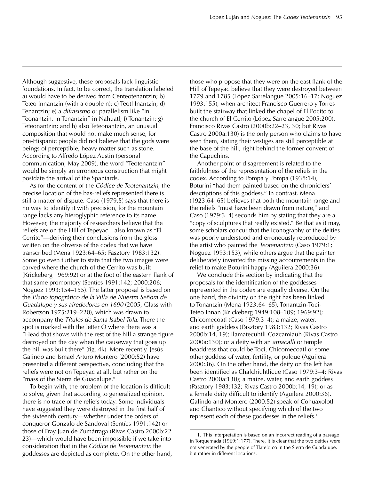Although suggestive, these proposals lack linguistic foundations. In fact, to be correct, the translation labeled a) would have to be derived from Centeotenantzin; b) Teteo Innantzin (with a double n); c) Teotl Inantzin; d) Tenantzin; e) a *difrasismo* or parallelism like "in Teonantzin, in Tenantzin" in Nahuatl; f) Tonantzin; g) Teteonantzin; and h) also Teteonantzin, an unusual composition that would not make much sense, for pre-Hispanic people did not believe that the gods were beings of perceptible, heavy matter such as stone. According to Alfredo López Austin (personal communication, May 2009), the word "Teotenantzin" would be simply an erroneous construction that might postdate the arrival of the Spaniards.

As for the content of the *Códice de Teotenantzin,* the precise location of the bas-reliefs represented there is still a matter of dispute. Caso (1979:5) says that there is no way to identify it with precision, for the mountain range lacks any hieroglyphic reference to its name. However, the majority of researchers believe that the reliefs are on the Hill of Tepeyac—also known as "El Cerrito"—deriving their conclusions from the gloss written on the obverse of the codex that we have transcribed (Mena 1923:64–65; Pasztory 1983:132). Some go even further to state that the two images were carved where the church of the Cerrito was built (Krickeberg 1969:92) or at the foot of the eastern flank of that same promontory (Sentíes 1991:142; 2000:206; Noguez 1993:154–155). The latter proposal is based on the *Plano topográfico de la Villa de Nuestra Señora de Guadalupe y sus alrededores en 1690* (2005; Glass with Robertson 1975:219–220), which was drawn to accompany the *Títulos de Santa Isabel Tola*. There the spot is marked with the letter O where there was a "Head that shows with the rest of the hill a strange figure destroyed on the day when the causeway that goes up the hill was built there" (fig. 4k). More recently, Jesús Galindo and Ismael Arturo Montero (2000:52) have presented a different perspective, concluding that the reliefs were not on Tepeyac at all, but rather on the "mass of the Sierra de Guadalupe."

To begin with, the problem of the location is difficult to solve, given that according to generalized opinion, there is no trace of the reliefs today. Some individuals have suggested they were destroyed in the first half of the sixteenth century—whether under the orders of conqueror Gonzalo de Sandoval (Sentíes 1991:142) or those of Fray Juan de Zumárraga (Rivas Castro 2000b:22– 23)—which would have been impossible if we take into consideration that in the *Códice de Teotenantzin* the goddesses are depicted as complete. On the other hand,

those who propose that they were on the east flank of the Hill of Tepeyac believe that they were destroyed between 1779 and 1785 (López Sarrelangue 2005:16–17; Noguez 1993:155), when architect Francisco Guerrero y Torres built the stairway that linked the chapel of El Pocito to the church of El Cerrito (López Sarrelangue 2005:200). Francisco Rivas Castro (2000b:22–23, 30; but Rivas Castro 2000a:130) is the only person who claims to have seen them, stating their vestiges are still perceptible at the base of the hill, right behind the former convent of the Capuchins.

Another point of disagreement is related to the faithfulness of the representation of the reliefs in the codex. According to Pompa y Pompa (1938:14), Boturini "had them painted based on the chroniclers' descriptions of this goddess." In contrast, Mena (1923:64–65) believes that both the mountain range and the reliefs "must have been drawn from nature," and Caso (1979:3–4) seconds him by stating that they are a "copy of sculptures that really existed." Be that as it may, some scholars concur that the iconography of the deities was poorly understood and erroneously reproduced by the artist who painted the *Teotenantzin* (Caso 1979:1; Noguez 1993:153), while others argue that the painter deliberately invented the missing accoutrements in the relief to make Boturini happy (Aguilera 2000:36).

We conclude this section by indicating that the proposals for the identification of the goddesses represented in the codex are equally diverse. On the one hand, the divinity on the right has been linked to Tonantzin (Mena 1923:64–65); Tonantzin-Toci-Teteo Innan (Krickeberg 1949:108–109; 1969:92); Chicomecoatl (Caso 1979:3–4); a maize, water, and earth goddess (Pasztory 1983:132; Rivas Castro 2000b:14, 19); Ilamatecuhtli-Cozcamiauh (Rivas Castro 2000a:130); or a deity with an *amacalli* or temple headdress that could be Toci, Chicomecoatl or some other goddess of water, fertility, or pulque (Aguilera 2000:36). On the other hand, the deity on the left has been identified as Chalchiuhtlicue (Caso 1979:3–4; Rivas Castro 2000a:130); a maize, water, and earth goddess (Pasztory 1983:132; Rivas Castro 2000b:14, 19); or as a female deity difficult to identify (Aguilera 2000:36). Galindo and Montero (2000:52) speak of Cohuaxolotl and Chantico without specifying which of the two represent each of these goddesses in the reliefs.<sup>1</sup>

<sup>1.</sup> This interpretation is based on an incorrect reading of a passage in Torquemada (1969:1:177). There, it is clear that the two deities were not venerated by the people of Tlatelolco in the Sierra de Guadalupe, but rather in different locations.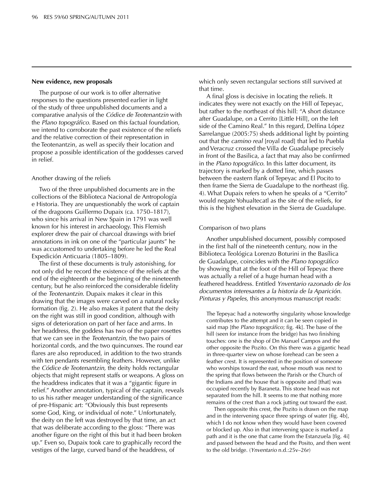#### **New evidence, new proposals**

The purpose of our work is to offer alternative responses to the questions presented earlier in light of the study of three unpublished documents and a comparative analysis of the *Códice de Teotenantzin* with the *Plano topográfico*. Based on this factual foundation, we intend to corroborate the past existence of the reliefs and the relative correction of their representation in the Teotenantzin, as well as specify their location and propose a possible identification of the goddesses carved in relief.

## Another drawing of the reliefs

Two of the three unpublished documents are in the collections of the Biblioteca Nacional de Antropología e Historia. They are unquestionably the work of captain of the dragoons Guillermo Dupaix (ca. 1750–1817), who since his arrival in New Spain in 1791 was well known for his interest in archaeology. This Flemish explorer drew the pair of charcoal drawings with brief annotations in ink on one of the "particular jaunts" he was accustomed to undertaking before he led the Real Expedición Anticuaria (1805–1809).

The first of these documents is truly astonishing, for not only did he record the existence of the reliefs at the end of the eighteenth or the beginning of the nineteenth century, but he also reinforced the considerable fidelity of the *Teotenantzin*. Dupaix makes it clear in this drawing that the images were carved on a natural rocky formation (fig. 2). He also makes it patent that the deity on the right was still in good condition, although with signs of deterioration on part of her face and arms. In her headdress, the goddess has two of the paper rosettes that we can see in the *Teotenantzin,* the two pairs of horizontal cords, and the two quincunxes. The round ear flares are also reproduced, in addition to the two strands with ten pendants resembling feathers. However, unlike the *Códice de Teotenantzin,* the deity holds rectangular objects that might represent staffs or weapons. A gloss on the headdress indicates that it was a "gigantic figure in relief." Another annotation, typical of the captain, reveals to us his rather meager understanding of the significance of pre-Hispanic art: "Obviously this bust represents some God, King, or individual of note." Unfortunately, the deity on the left was destroyed by that time, an act that was deliberate according to the gloss: "There was another figure on the right of this but it had been broken up." Even so, Dupaix took care to graphically record the vestiges of the large, curved band of the headdress, of

which only seven rectangular sections still survived at that time.

A final gloss is decisive in locating the reliefs. It indicates they were not exactly on the Hill of Tepeyac, but rather to the northeast of this hill: "A short distance after Guadalupe, on a Cerrito [Little Hill], on the left side of the Camino Real." In this regard, Delfina López Sarrelangue (2005:75) sheds additional light by pointing out that the *camino real* [royal road] that led to Puebla and Veracruz crossed the Villa de Guadalupe precisely in front of the Basilica, a fact that may also be confirmed in the *Plano topográfico*. In this latter document, its trajectory is marked by a dotted line, which passes between the eastern flank of Tepeyac and El Pocito to then frame the Sierra de Guadalupe to the northeast (fig. 4). What Dupaix refers to when he speaks of a "Cerrito" would negate Yohualtecatl as the site of the reliefs, for this is the highest elevation in the Sierra de Guadalupe.

## Comparison of two plans

Another unpublished document, possibly composed in the first half of the nineteenth century, now in the Biblioteca Teológica Lorenzo Boturini in the Basílica de Guadalupe, coincides with the *Plano topográfico*  by showing that at the foot of the Hill of Tepeyac there was actually a relief of a huge human head with a feathered headdress. Entitled *Ynventario razonado de los documentos interesantes a la historia de la Aparición. Pinturas y Papeles,* this anonymous manuscript reads:

The Tepeyac had a noteworthy singularity whose knowledge contributes to the attempt and it can be seen copied in said map [the *Plano topográfico*; fig. 4k]. The base of the hill (seen for instance from the bridge) has two finishing touches: one is the shop of Dn Manuel Campos and the other opposite the Pozito. On this there was a gigantic head in three-quarter view on whose forehead can be seen a feather crest. It is represented in the position of someone who worships toward the east, whose mouth was next to the spring that flows between the Parish or the Church of the Indians and the house that is opposite and [that] was occupied recently by Baraneta. This stone head was not separated from the hill. It seems to me that nothing more remains of the crest than a rock jutting out toward the east.

Then opposite this crest, the Pozito is drawn on the map and in the intervening space three springs of water [fig. 4b], which I do not know when they would have been covered or blocked up. Also in that intervening space is marked a path and it is the one that came from the Estanzuela [fig. 4i] and passed between the head and the Posito, and then went to the old bridge. (*Ynventario* n.d.:25v–26r)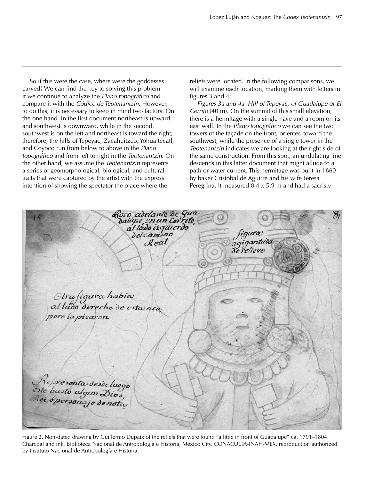So if this were the case, where were the goddesses carved? We can find the key to solving this problem if we continue to analyze the *Plano topográfico* and compare it with the *Códice de Teotenantzin*. However, to do this, it is necessary to keep in mind two factors. On the one hand, in the first document northeast is upward and southwest is downward, while in the second, southwest is on the left and northeast is toward the right; therefore, the hills of Tepeyac, Zacahuitzco, Yohualtecatl, and Coyoco run from below to above in the *Plano topográfico* and from left to right in the *Teotenantzin*. On the other hand, we assume the *Teotenantzin* represents a series of geomorphological, biological, and cultural traits that were captured by the artist with the express intention of showing the spectator the place where the

reliefs were located. In the following comparisons, we will examine each location, marking them with letters in figures 3 and 4:

*Figures 3a and 4a: Hill of Tepeyac, of Guadalupe or El Cerrito* (40 m). On the summit of this small elevation, there is a hermitage with a single nave and a room on its east wall. In the *Plano topográfico* we can see the two towers of the façade on the front, oriented toward the southwest, while the presence of a single tower in the *Teotenantzin* indicates we are looking at the right side of the same construction. From this spot, an undulating line descends in this latter document that might allude to a path or water current. This hermitage was built in 1660 by baker Cristóbal de Aguirre and his wife Teresa Peregrina. It measured 8.4 x 5.9 m and had a sacristy

*Coco adelante de Gua* dalipe en un Cerrito<br>al lado isquierdo del Camino agigantada Real eliege Otra figura habias<br>al lado derecho de esta aca pero la picaron. Representa desde luego<br>este busto algun Dios,<br>Rei opersonaje denota

Figure 2. Non-dated drawing by Guillermo Dupaix of the reliefs that were found "a little in front of Guadalupe" ca. 1791–1804. Charcoal and ink, Biblioteca Nacional de Antropología e Historia, Mexico City. CONACULTA-INAH-MEX, reproduction authorized by Instituto Nacional de Antropología e Historia.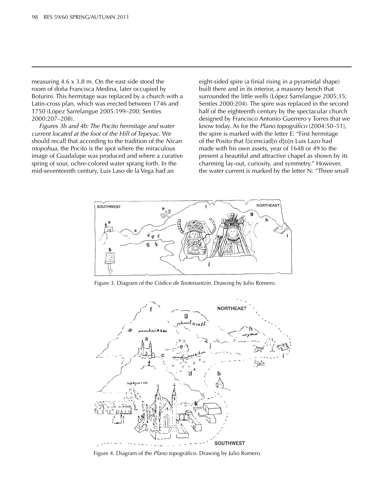measuring 4.6 x 3.8 m. On the east side stood the room of doña Francisca Medina, later occupied by Boturini. This hermitage was replaced by a church with a Latin-cross plan, which was erected between 1746 and 1750 (López Sarrelangue 2005:199–200; Sentíes 2000:207–208).

*Figures 3b and 4b: The Pocito hermitage and water current located at the foot of the Hill of Tepeyac*. We should recall that according to the tradition of the *Nican mopohua,* the Pocito is the spot where the miraculous image of Guadalupe was produced and where a curative spring of sour, ochre-colored water sprang forth. In the mid-seventeenth century, Luis Laso de la Vega had an

eight-sided spire (a finial rising in a pyramidal shape) built there and in its interior, a masonry bench that surrounded the little wells (López Sarrelangue 2005:35; Sentíes 2000:204). The spire was replaced in the second half of the eighteenth century by the spectacular church designed by Francisco Antonio Guerrero y Torres that we know today. As for the *Plano topográfico* (2004:50–51), the spire is marked with the letter E: "First hermitage of the Posito that l[icenciad]o d[o]n Luis Lazo had made with his own assets, year of 1648 or 49 to the present a beautiful and attractive chapel as shown by its charming lay-out, curiosity, and symmetry." However, the water current is marked by the letter N: "Three small



Figure 3. Diagram of the *Códice de Teotenantzin*. Drawing by Julio Romero.



Figure 4. Diagram of the *Plano topográfico.* Drawing by Julio Romero.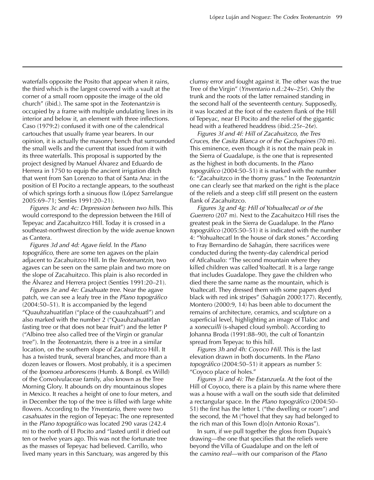waterfalls opposite the Posito that appear when it rains, the third which is the largest covered with a vault at the corner of a small room opposite the image of the old church" (ibid.). The same spot in the *Teotenantzin* is occupied by a frame with multiple undulating lines in its interior and below it, an element with three inflections. Caso (1979:2) confused it with one of the calendrical cartouches that usually frame year bearers. In our opinion, it is actually the masonry bench that surrounded the small wells and the current that issued from it with its three waterfalls. This proposal is supported by the project designed by Manuel Álvarez and Eduardo de Herrera in 1750 to equip the ancient irrigation ditch that went from San Lorenzo to that of Santa Ana: in the position of El Pocito a rectangle appears, to the southeast of which springs forth a sinuous flow (López Sarrelangue 2005:69–71; Sentíes 1991:20–21).

*Figures 3c and 4c: Depression between two hills*. This would correspond to the depression between the Hill of Tepeyac and Zacahuitzco Hill. Today it is crossed in a southeast-northwest direction by the wide avenue known as Cantera.

*Figures 3d and 4d: Agave field*. In the *Plano topográfico,* there are some ten agaves on the plain adjacent to Zacahuitzco Hill. In the *Teotenantzin,* two agaves can be seen on the same plain and two more on the slope of Zacahuitzco. This plain is also recorded in the Álvarez and Herrera project (Sentíes 1991:20–21).

*Figures 3e and 4e: Casahuate tree.* Near the agave patch, we can see a leafy tree in the *Plano topográfico* (2004:50–51). It is accompanied by the legend "Quauhzahuatitlan ("place of the cuauhzahuatl") and also marked with the number 2 ("Quauhzahuatitlan fasting tree or that does not bear fruit") and the letter P ("Albino tree also called tree of the Virgin or granular tree"). In the *Teotenantzin,* there is a tree in a similar location, on the southern slope of Zacahuitzco Hill. It has a twisted trunk, several branches, and more than a dozen leaves or flowers. Most probably, it is a specimen of the *Ipomoea arborescens* (Humb. & Bonpl. ex Willd) of the Convolvulaceae family, also known as the Tree Morning Glory. It abounds on dry mountainous slopes in Mexico. It reaches a height of one to four meters, and in December the top of the tree is filled with large white flowers. According to the *Ynventario,* there were two *casahuates* in the region of Tepeyac: The one represented in the *Plano topográfico* was located 290 *varas* (242.4 m) to the north of El Pocito and "lasted until it dried out ten or twelve years ago. This was not the fortunate tree as the masses of Tepeyac had believed. Carrillo, who lived many years in this Sanctuary, was angered by this

clumsy error and fought against it. The other was the true Tree of the Virgin" (*Ynventario* n.d.:24v–25r). Only the trunk and the roots of the latter remained standing in the second half of the seventeenth century. Supposedly, it was located at the foot of the eastern flank of the Hill of Tepeyac, near El Pocito and the relief of the gigantic head with a feathered headdress (ibid.:25r–26r).

*Figures 3f and 4f: Hill of Zacahuitzco, the Tres Cruces, the Casita Blanca or of the Gachupines* (70 m). This eminence, even though it is not the main peak in the Sierra of Guadalupe, is the one that is represented as the highest in both documents. In the *Plano topográfico* (2004:50–51) it is marked with the number 6: "Zacahuitzco in the thorny grass." In the *Teotenantzin* one can clearly see that marked on the right is the place of the reliefs and a steep cliff still present on the eastern flank of Zacahuitzco.

*Figures 3g and 4g: Hill of Yohualtecatl or of the Guerrero* (207 m). Next to the Zacahuitzco Hill rises the greatest peak in the Sierra de Guadalupe. In the *Plano topográfico* (2005:50–51) it is indicated with the number 4: "Yohualtecatl In the house of dark stones." According to Fray Bernardino de Sahagún, there sacrifices were conducted during the twenty-day calendrical period of Atlcahualo: "The second mountain where they killed children was called Yoaltecatl. It is a large range that includes Guadalope. They gave the children who died there the same name as the mountain, which is Yoaltecatl. They dressed them with some papers dyed black with red ink stripes" (Sahagún 2000:177). Recently, Montero (2000:9, 14) has been able to document the remains of architecture, ceramics, and sculpture on a superficial level, highlighting an image of Tlaloc and a *xonecuilli* (s-shaped cloud symbol). According to Johanna Broda (1991:88–90), the cult of Tonantzin spread from Tepeyac to this hill.

*Figures 3h and 4h: Coyoco Hill.* This is the last elevation drawn in both documents. In the *Plano topográfico* (2004:50–51) it appears as number 5: "Coyoco place of holes."

*Figures 3i and 4i: The Estanzuela*. At the foot of the Hill of Coyoco, there is a plain by this name where there was a house with a wall on the south side that delimited a rectangular space. In the *Plano topográfico* (2004:50– 51) the first has the letter L ("the dwelling or room") and the second, the M ("hovel that they say had belonged to the rich man of this Town d[o]n Antonio Roxas").

In sum, if we pull together the gloss from Dupaix's drawing—the one that specifies that the reliefs were beyond the Villa of Guadalupe and on the left of the *camino real*—with our comparison of the *Plano*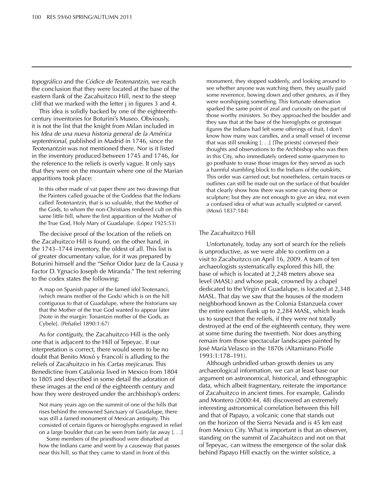*topográfico* and the *Códice de Teotenantzin,* we reach the conclusion that they were located at the base of the eastern flank of the Zacahuitzco Hill, next to the steep cliff that we marked with the letter j in figures 3 and 4.

This idea is solidly backed by one of the eighteenthcentury inventories for Boturini's Museo. Obviously, it is not the list that the knight from Milan included in his *Idea de una nueva historia general de la América septentrional,* published in Madrid in 1746, since the *Teotenantzin* was not mentioned there. Nor is it listed in the inventory produced between 1745 and 1746, for the reference to the reliefs is overly vague. It only says that they were on the mountain where one of the Marian apparitions took place:

In this other made of vat paper there are two drawings that the Painters called gouache of the Goddess that the Indians called *Teotenantzin,* that is so valuable, that the Mother of the Gods, to whom the non-Christians rendered cult on this same little hill, where the first apparition of the Mother of the True God, Holy Mary of Guadalupe. (López 1925:53)

The decisive proof of the location of the reliefs on the Zacahuitzco Hill is found, on the other hand, in the 1743–1744 inventory, the oldest of all. This list is of greater documentary value, for it was prepared by Boturini himself and the "Señor Oidor Juez de la Causa y Factor D. Ygnacio Joseph de Miranda." The text referring to the codex states the following:

A map on Spanish paper of the famed idol Teotenanci, (which means mother of the Gods) which is on the hill contiguous to that of Guadalupe, where the historians say that the Mother of the true God wanted to appear later [Note in the margin: Tonantzin mother of the Gods, as Cybele]. (Peñafiel 1890:1:67)

As for *contiguity,* the Zacahuitzco Hill is the only one that is adjacent to the Hill of Tepeyac. If our interpretation is correct, there would seem to be no doubt that Benito Moxó y Francolí is alluding to the reliefs of Zacahuitzco in his *Cartas mejicanas*. This Benedictine from Catalonia lived in Mexico from 1804 to 1805 and described in some detail the adoration of these images at the end of the eighteenth century and how they were destroyed under the archbishop's orders:

Not many years ago on the summit of one of the hills that rises behind the renowned Sanctuary of Guadalupe, there was still a famed monument of Mexican antiquity. This consisted of certain figures or hieroglyphs engraved in relief on a large boulder that can be seen from fairly far away [. . .]

Some members of the priesthood were disturbed at how the Indians came and went by a causeway that passes near this hill, so that they came to stand in front of this

monument, they stopped suddenly, and looking around to see whether anyone was watching them, they usually paid some reverence, bowing down and other gestures, as if they were worshipping something. This fortunate observation sparked the same point of zeal and curiosity on the part of those worthy ministers. So they approached the boulder and they saw that at the base of the hieroglyphs or grotesque figures the Indians had left some offerings of fruit, I don't know how many wax candles, and a small vessel of incense that was still smoking [. . .] [The priests] conveyed their thoughts and observations to the Archbishop who was then in this City, who immediately ordered some quarrymen to go posthaste to erase those images for they served as such a harmful stumbling block to the Indians of the outskirts. This order was carried out; but nonetheless, certain traces or outlines can still be made out on the surface of that boulder that clearly show how there was some carving there or sculpture; but they are not enough to give an idea, not even a confused idea of what was actually sculpted or carved. (Moxó 1837:184)

# The Zacahuitzco Hill

Unfortunately, today any sort of search for the reliefs is unproductive, as we were able to confirm on a visit to Zacahuitzco on April 16, 2009. A team of ten archaeologists systematically explored this hill, the base of which is located at 2,248 meters above sea level (MASL) and whose peak, crowned by a chapel dedicated to the Virgin of Guadalupe, is located at 2,348 MASL. That day we saw that the houses of the modern neighborhood known as the Colonia Estanzuela cover the entire eastern flank up to 2,284 MASL, which leads us to suspect that the reliefs, if they were not totally destroyed at the end of the eighteenth century, they were at some time during the twentieth. Nor does anything remain from those spectacular landscapes painted by José María Velasco in the 1870s (Altamirano Piolle 1993:1:178–191).

Although unbridled urban growth denies us any archaeological information, we can at least base our argument on astronomical, historical, and ethnographic data, which albeit fragmentary, reiterate the importance of Zacahuitzco in ancient times. For example, Galindo and Montero (2000:44, 48) discovered an extremely interesting astronomical correlation between this hill and that of Papayo, a volcanic cone that stands out on the horizon of the Sierra Nevada and is 45 km east from Mexico City. What is important is that an observer, standing on the summit of Zacahuitzco and not on that of Tepeyac, can witness the emergence of the solar disk behind Papayo Hill exactly on the winter solstice, a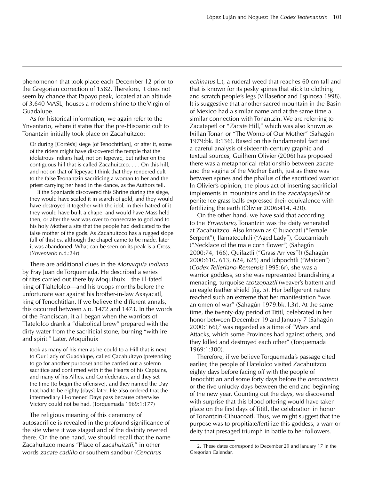phenomenon that took place each December 12 prior to the Gregorian correction of 1582. Therefore, it does not seem by chance that Papayo peak, located at an altitude of 3,640 MASL, houses a modern shrine to the Virgin of Guadalupe.

As for historical information, we again refer to the Ynventario, where it states that the pre-Hispanic cult to Tonantzin initially took place on Zacahuitzco:

Or during [Cortés's] siege [of Tenochtitlan], or after it, some of the riders might have discovered the temple that the idolatrous Indians had, not on Tepeyac, but rather on the contiguous hill that is called Zacahuitzco. . . . On this hill, and not on that of Tepeyac I think that they rendered cult to the false Teonantzin sacrificing a woman to her and the priest carrying her head in the dance, as the Authors tell.

If the Spaniards discovered this Shrine during the siege, they would have scaled it in search of gold, and they would have destroyed it together with the idol, in their hatred of it they would have built a chapel and would have Mass held then, or after the war was over to consecrate to god and to his holy Mother a site that the people had dedicated to the false mother of the gods. As Zacahuitzco has a rugged slope full of thistles, although the chapel came to be made, later it was abandoned. What can be seen on its peak is a Cross. (*Ynventario* n.d.:24r)

There are additional clues in the *Monarquía indiana* by Fray Juan de Torquemada. He described a series of rites carried out there by Moquihuix—the ill-fated king of Tlaltelolco—and his troops months before the unfortunate war against his brother-in-law Axayacatl, king of Tenochtitlan. If we believe the different annals, this occurred between  $A.D. 1472$  and  $1473$ . In the words of the Franciscan, it all began when the warriors of Tlatelolco drank a "diabolical brew" prepared with the dirty water from the sacrificial stone, burning "with ire and spirit." Later, Moquihuix

took as many of his men as he could to a Hill that is next to Our Lady of Guadalupe, called Çacahuitzyo (pretending to go for another purpose) and he carried out a solemn sacrifice and confirmed with it the Hearts of his Captains, and many of his Allies, and Confederates, and they set the time [to begin the offensive], and they named the Day that had to be eighty [days] later. He also ordered that the intermediary ill-omened Days pass because otherwise Victory could not be had. (Torquemada 1969:1:177)

The religious meaning of this ceremony of autosacrifice is revealed in the profound significance of the site where it was staged and of the divinity revered there. On the one hand, we should recall that the name Zacahuitzco means "Place of *zacahuitztli,*" in other words *zacate cadillo* or southern sandbur (*Cenchrus* 

*echinatus* L.), a ruderal weed that reaches 60 cm tall and that is known for its pesky spines that stick to clothing and scratch people's legs (Villaseñor and Espinosa 1998). It is suggestive that another sacred mountain in the Basin of Mexico had a similar name and at the same time a similar connection with Tonantzin. We are referring to Zacatepetl or "*Zacate* Hill," which was also known as Ixillan Tonan or "The Womb of Our Mother" (Sahagún 1979:bk. II:136). Based on this fundamental fact and a careful analysis of sixteenth-century graphic and textual sources, Guilhem Olivier (2006) has proposed there was a metaphorical relationship between *zacate* and the vagina of the Mother Earth, just as there was between spines and the phallus of the sacrificed warrior. In Olivier's opinion, the pious act of inserting sacrificial implements in mountains and in the *zacatapayolli* or penitence grass balls expressed their equivalence with fertilizing the earth (Olivier 2006:414, 420).

On the other hand, we have said that according to the *Ynventario,* Tonantzin was the deity venerated at Zacahuitzco. Also known as Cihuacoatl ("Female Serpent"), Ilamatecuhtli ("Aged Lady"), Cozcamiauh ("Necklace of the male corn flower") (Sahagún 2000:74, 166), Quilaztli ("Grass Arrives"?) (Sahagún 2000:610, 613, 624, 625) and Ichpochtli ("Maiden") (*Codex Telleriano-Remensis* 1995:6r), she was a warrior goddess, so she was represented brandishing a menacing, turquoise *tzotzopaztli* (weaver's batten) and an eagle feather shield (fig. 5). Her belligerent nature reached such an extreme that her manifestation "was an omen of war" (Sahagún 1979:bk. I:3r). At the same time, the twenty-day period of Tititl, celebrated in her honor between December 19 and January 7 (Sahagún  $2000:166$ ),<sup>2</sup> was regarded as a time of "Wars and Attacks, which some Provinces had against others, and they killed and destroyed each other" (Torquemada 1969:1:300).

Therefore, if we believe Torquemada's passage cited earlier, the people of Tlatelolco visited Zacahuitzco eighty days before facing off with the people of Tenochtitlan and some forty days before the *nemontemi* or the five unlucky days between the end and beginning of the new year. Counting out the days, we discovered with surprise that this blood offering would have taken place on the first days of Tititl, the celebration in honor of Tonantzin-Cihuacoatl. Thus, we might suggest that the purpose was to propitiate/fertilize this goddess, a warrior deity that presaged triumph in battle to her followers.

<sup>2.</sup> These dates correspond to December 29 and January 17 in the Gregorian Calendar.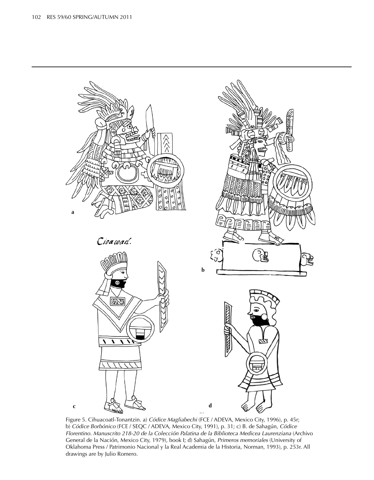

Figure 5. Cihuacoatl-Tonantzin. a) *Códice Magliabechi* (FCE / ADEVA, Mexico City, 1996), p. 45r; b) *Códice Borbónico* (FCE / SEQC / ADEVA, Mexico City, 1991), p. 31; c) B. de Sahagún, *Códice Florentino. Manuscrito 218-20 de la Colección Palatina de la Biblioteca Medicea Laurenziana* (Archivo General de la Nación, Mexico City, 1979), book I; d) Sahagún, *Primeros memoriales* (University of Oklahoma Press / Patrimonio Nacional y la Real Academia de la Historia, Norman, 1993), p. 253r. All drawings are by Julio Romero.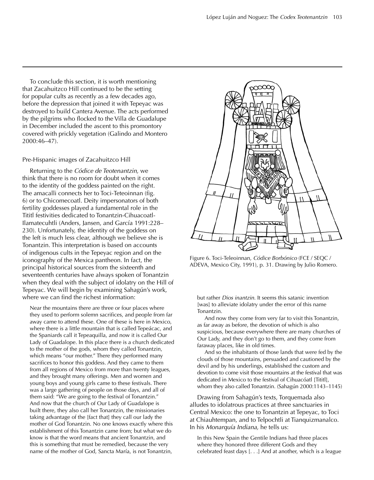To conclude this section, it is worth mentioning that Zacahuitzco Hill continued to be the setting for popular cults as recently as a few decades ago, before the depression that joined it with Tepeyac was destroyed to build Cantera Avenue. The acts performed by the pilgrims who flocked to the Villa de Guadalupe in December included the ascent to this promontory covered with prickly vegetation (Galindo and Montero 2000:46–47).

#### Pre-Hispanic images of Zacahuitzco Hill

Returning to the *Códice de Teotenantzin,* we think that there is no room for doubt when it comes to the identity of the goddess painted on the right. The amacalli connects her to Toci-Teteoinnan (fig. 6) or to Chicomecoatl. Deity impersonators of both fertility goddesses played a fundamental role in the Tititl festivities dedicated to Tonantzin-Cihuacoatl-Ilamatecuhtli (Anders, Jansen, and García 1991:228– 230). Unfortunately, the identity of the goddess on the left is much less clear, although we believe she is Tonantzin. This interpretation is based on accounts of indigenous cults in the Tepeyac region and on the iconography of the Mexica pantheon. In fact, the principal historical sources from the sixteenth and seventeenth centuries have always spoken of Tonantzin when they deal with the subject of idolatry on the Hill of Tepeyac. We will begin by examining Sahagún's work, where we can find the richest information:

Near the mountains there are three or four places where they used to perform solemn sacrifices, and people from far away came to attend these. One of these is here in Mexico, where there is a little mountain that is called Tepeácac, and the Spaniards call it Tepeaquilla, and now it is called Our Lady of Guadalope. In this place there is a church dedicated to the mother of the gods, whom they called Tonantzin, which means "our mother." There they performed many sacrifices to honor this goddess. And they came to them from all regions of Mexico from more than twenty leagues, and they brought many offerings. Men and women and young boys and young girls came to these festivals. There was a large gathering of people on those days, and all of them said: "We are going to the festival of Tonantzin." And now that the church of Our Lady of Guadalope is built there, they also call her Tonantzin, the missionaries taking advantage of the [fact that] they call our lady the mother of God Tonantzin. No one knows exactly where this establishment of this Tonantzin came from; but what we do know is that the word means that ancient Tonantzin, and this is something that must be remedied, because the very name of the mother of God, Sancta María, is not Tonantzin,



Figure 6. Toci-Teleoinnan, *Códice Borbónico* (FCE / SEQC / ADEVA, Mexico City, 1991), p. 31. Drawing by Julio Romero.

but rather *Dios inantzin*. It seems this satanic invention [was] to alleviate idolatry under the error of this name Tonantzin.

And now they come from very far to visit this Tonantzin, as far away as before, the devotion of which is also suspicious, because everywhere there are many churches of Our Lady, and they don't go to them, and they come from faraway places, like in old times.

And so the inhabitants of those lands that were fed by the clouds of those mountains, persuaded and cautioned by the devil and by his underlings, established the custom and devotion to come visit those mountains at the festival that was dedicated in Mexico to the festival of Cihuacóatl [Tititl], whom they also called Tonantzin. (Sahagún 2000:1143–1145)

Drawing from Sahagún's texts, Torquemada also alludes to idolatrous practices at three sanctuaries in Central Mexico: the one to Tonantzin at Tepeyac, to Toci at Chiauhtempan, and to Telpochtli at Tianquizmanalco. In his *Monarquía Indiana,* he tells us:

In this New Spain the Gentile Indians had three places where they honored three different Gods and they celebrated feast days [. . .] And at another, which is a league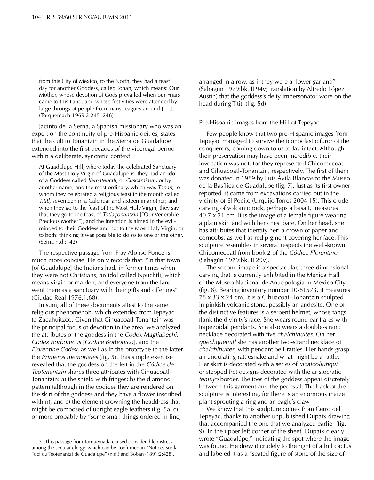from this City of Mexico, to the North, they had a feast day for another Goddess, called Tonan, which means: Our Mother, whose devotion of Gods prevailed when our Friars came to this Land, and whose festivities were attended by large throngs of people from many leagues around [. . .]. (Torquemada 1969:2:245–246)3

Jacinto de la Serna, a Spanish missionary who was an expert on the continuity of pre-Hispanic deities, states that the cult to Tonantzin in the Sierra de Guadalupe extended into the first decades of the viceregal period within a deliberate, syncretic context.

At Guadalupe Hill, where today the celebrated Sanctuary of the Most Holy Virgin of Guadalupe is, they had an idol of a Goddess called *Ilamateuctli,* or *Cuscamiauh,* or by another name, and the most ordinary, which was *Tonan,* to whom they celebrated a religious feast in the month called *Tititl,* seventeen in a Calendar and sixteen in another; and when they go to the feast of the Most Holy Virgin, they say that they go to the feast of *Totlaçonantzin* ["Our Venerable Precious Mother"], and the intention is aimed in the evilminded to their Goddess and not to the Most Holy Virgin, or to both: thinking it was possible to do so to one or the other. (Serna n.d.:142)

The respective passage from Fray Alonso Ponce is much more concise. He only records that: "In that town [of Guadalupe] the Indians had, in former times when they were not Christians, an idol called Ixpuchtli, which means virgin or maiden, and everyone from the land went there as a sanctuary with their gifts and offerings" (Ciudad Real 1976:1:68).

In sum, all of these documents attest to the same religious phenomenon, which extended from Tepeyac to Zacahuitzco. Given that Cihuacoatl-Tonantzin was the principal focus of devotion in the area, we analyzed the attributes of the goddess in the *Codex Magliabechi, Codex Borbonicus* [*Códice Borbónico*], and the *Florentine Codex,* as well as in the prototype to the latter, the *Primeros memoriales* (fig. 5). This simple exercise revealed that the goddess on the left in the *Códice de Teotenantzin* shares three attributes with Cihuacoatl-Tonantzin: a) the shield with fringes; b) the diamond pattern (although in the codices they are rendered on the skirt of the goddess and they have a flower inscribed within); and c) the element crowning the headdress that might be composed of upright eagle feathers (fig. 5a–c) or more probably by "some small things ordered in line,

arranged in a row, as if they were a flower garland" (Sahagún 1979:bk. II:94v; translation by Alfredo López Austin) that the goddess's deity impersonator wore on the head during Tititl (fig. 5d).

Pre-Hispanic images from the Hill of Tepeyac

Few people know that two pre-Hispanic images from Tepeyac managed to survive the iconoclastic furor of the conquerors, coming down to us today intact. Although their preservation may have been incredible, their invocation was not, for they represented Chicomecoatl and Cihuacoatl-Tonantzin, respectively. The first of them was donated in 1989 by Luis Ávila Blancas to the Museo de la Basílica de Guadalupe (fig. 7). Just as its first owner reported, it came from excavations carried out in the vicinity of El Pocito (Urquijo Torres 2004:15). This crude carving of volcanic rock, perhaps a basalt, measures 40.7 x 21 cm. It is the image of a female figure wearing a plain skirt and with her chest bare. On her head, she has attributes that identify her: a crown of paper and corncobs, as well as red pigment covering her face. This sculpture resembles in several respects the well-known Chicomecoatl from book 2 of the *Códice Florentino* (Sahagún 1979:bk. II:29v).

The second image is a spectacular, three-dimensional carving that is currently exhibited in the Mexica Hall of the Museo Nacional de Antropología in Mexico City (fig. 8). Bearing inventory number 10-81573, it measures 78 x 33 x 24 cm. It is a Cihuacoatl-Tonantzin sculpted in pinkish volcanic stone, possibly an andesite. One of the distinctive features is a serpent helmet, whose fangs flank the divinity's face. She wears round ear flares with trapezoidal pendants. She also wears a double-strand necklace decorated with five *chalchihuites*. On her *quechquemitl* she has another two-strand necklace of *chalchihuites,* with pendant bell-rattles. Her hands grasp an undulating rattlesnake and what might be a rattle. Her skirt is decorated with a series of *xicalcoliuhqui* or stepped fret designs decorated with the aristocratic *tenixyo* border. The toes of the goddess appear discretely between this garment and the pedestal. The back of the sculpture is interesting, for there is an enormous maize plant sprouting a ring and an eagle's claw.

We know that this sculpture comes from Cerro del Tepeyac, thanks to another unpublished Dupaix drawing that accompanied the one that we analyzed earlier (fig. 9). In the upper left corner of the sheet, Dupaix clearly wrote "Guadalúpe," indicating the spot where the image was found. He drew it crudely to the right of a hill cactus and labeled it as a "seated figure of stone of the size of

<sup>3.</sup> This passage from Torquemada caused considerable distress among the secular clergy, which can be confirmed in "Notices sur la Toci ou Teotenantzi de Guadalupe" (n.d.) and Boban (1891:2:428).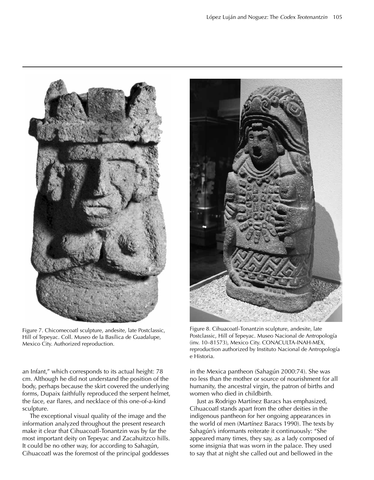

Figure 7. Chicomecoatl sculpture, andesite, late Postclassic, Hill of Tepeyac. Coll. Museo de la Basílica de Guadalupe, Mexico City. Authorized reproduction.

an Infant," which corresponds to its actual height: 78 cm. Although he did not understand the position of the body, perhaps because the skirt covered the underlying forms, Dupaix faithfully reproduced the serpent helmet, the face, ear flares, and necklace of this one-of-a-kind sculpture.

The exceptional visual quality of the image and the information analyzed throughout the present research make it clear that Cihuacoatl-Tonantzin was by far the most important deity on Tepeyac and Zacahuitzco hills. It could be no other way, for according to Sahagún, Cihuacoatl was the foremost of the principal goddesses



Figure 8. Cihuacoatl-Tonantzin sculpture, andesite, late Postclassic, Hill of Tepeyac. Museo Nacional de Antropología (inv. 10–81573), Mexico City. CONACULTA-INAH-MEX, reproduction authorized by Instituto Nacional de Antropología e Historia.

in the Mexica pantheon (Sahagún 2000:74). She was no less than the mother or source of nourishment for all humanity, the ancestral virgin, the patron of births and women who died in childbirth.

Just as Rodrigo Martínez Baracs has emphasized, Cihuacoatl stands apart from the other deities in the indigenous pantheon for her ongoing appearances in the world of men (Martínez Baracs 1990). The texts by Sahagún's informants reiterate it continuously: "She appeared many times, they say, as a lady composed of some insignia that was worn in the palace. They used to say that at night she called out and bellowed in the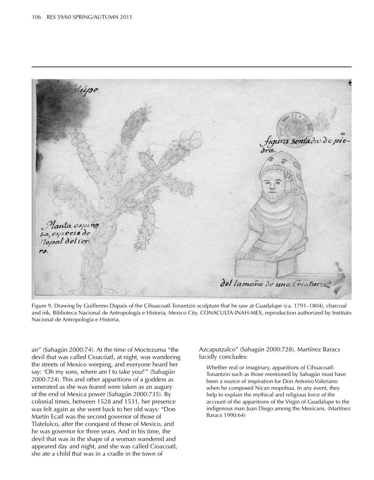

Figure 9. Drawing by Guillermo Dupaix of the Cihuacoatl-Tonantzin sculpture that he saw at Guadalupe (ca. 1791–1804), charcoal and ink, Biblioteca Nacional de Antropología e Historia, Mexico City. CONACULTA-INAH-MEX, reproduction authorized by Instituto Nacional de Antropología e Historia.

air" (Sahagún 2000:74). At the time of Moctezuma "the devil that was called Cioacóatl, at night, was wandering the streets of Mexico weeping, and everyone heard her say: 'Oh my sons, where am I to take you?'" (Sahagún 2000:724). This and other apparitions of a goddess as venerated as she was feared were taken as an augury of the end of Mexica power (Sahagún 2000:735). By colonial times, between 1528 and 1531, her presence was felt again as she went back to her old ways: "Don Martín Ecatl was the second governor of those of Tlatelulco, after the conquest of those of Mexico, and he was governor for three years. And in his time, the devil that was in the shape of a woman wandered and appeared day and night, and she was called Cioacoatl, she ate a child that was in a cradle in the town of

Azcaputzalco" (Sahagún 2000:728). Martínez Baracs lucidly concludes:

Whether real or imaginary, apparitions of Cihuacoatl-Tonantzin such as those mentioned by Sahagún must have been a source of inspiration for Don Antonio Valeriano when he composed Nican mopohua. In any event, they help to explain the mythical and religious force of the account of the apparitions of the Virgin of Guadalupe to the indigenous man Juan Diego among the Mexicans. (Martínez Baracs 1990:64)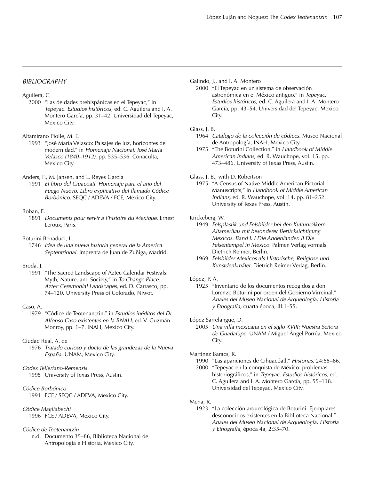# *Bibliography*

# Aguilera, C.

2000 "Las deidades prehispánicas en el Tepeyac," in *Tepeyac. Estudios históricos,* ed. C. Aguilera and I. A. Montero García, pp. 31–42. Universidad del Tepeyac, Mexico City.

## Altamirano Piolle, M. E.

1993 "José María Velasco: Paisajes de luz, horizontes de modernidad," in *Homenaje Nacional: José María Velasco (1840–1912),* pp. 535–536. Conaculta, Mexico City.

## Anders, F., M. Jansen, and L. Reyes García

1991 *El libro del Ciuacoatl. Homenaje para el año del Fuego Nuevo. Libro explicativo del llamado Códice Borbónico*. SEQC / ADEVA / FCE, Mexico City.

# Boban, E.

1891 *Documents pour servir à l'histoire du Mexique.* Ernest Leroux, Paris.

# Boturini Benaduci, L.

1746 *Idea de una nueva historia general de la America Septentrional.* Imprenta de Juan de Zuñiga, Madrid.

#### Broda, J.

1991 "The Sacred Landscape of Aztec Calendar Festivals: Myth, Nature, and Society," in *To Change Place: Aztec Ceremonial Landscapes,* ed. D. Carrasco, pp. 74–120. University Press of Colorado, Niwot.

## Caso, A.

1979 "Códice de Teotenantzin," in *Estudios inéditos del Dr. Alfonso Caso existentes en la BNAH,* ed. V. Guzmán Monroy, pp. 1–7. INAH, Mexico City.

## Ciudad Real, A. de

1976 *Tratado curioso y docto de las grandezas de la Nueva España.* UNAM, Mexico City.

## *Codex Telleriano-Remensis* 1995 University of Texas Press, Austin.

# *Códice Borbónico*

1991 FCE / SEQC / ADEVA, Mexico City.

# *Códice Magliabechi*

1996 FCE / ADEVA, Mexico City.

## *Códice de Teotenantzin*

n.d. Documento 35–86, Biblioteca Nacional de Antropología e Historia, Mexico City.

## Galindo, J., and I. A. Montero

2000 "El Tepeyac en un sistema de observación astronómica en el México antiguo," in *Tepeyac. Estudios históricos,* ed. C. Aguilera and I. A. Montero García, pp. 43–54. Universidad del Tepeyac, Mexico City.

## Glass, J. B.

- 1964 *Catálogo de la colección de códices*. Museo Nacional de Antropología, INAH, Mexico City.
- 1975 "The Boturini Collection," in *Handbook of Middle American Indians,* ed. R. Wauchope, vol. 15, pp. 473–486. University of Texas Press, Austin.

# Glass, J. B., with D. Robertson

1975 "A Census of Native Middle American Pictorial Manuscripts," in *Handbook of Middle American Indians,* ed. R. Wauchope, vol. 14, pp. 81–252. University of Texas Press, Austin.

## Krickeberg, W.

- 1949 *Felsplastik und Felsbilder bei den Kulturvölkern Altamerikas mit besonderer Berücksichtigung Mexicos. Band I. I Die Andenländer. II Die Felsentempel in Mexico.* Palmen Verlag vormals Dietrich Reimer, Berlin.
- 1969 *Felsbilder Mexicos als Historische, Religiose und Kunstdenkmäler.* Dietrich Reimer Verlag, Berlin.

#### López, P. A.

1925 "Inventario de los documentos recogidos a don Lorenzo Boturini por orden del Gobierno Virreinal." *Anales del Museo Nacional de Arqueología, Historia y Etnografía,* cuarta época, III:1–55.

## López Sarrelangue, D.

2005 *Una villa mexicana en el siglo XVIII: Nuestra Señora de Guadalupe.* UNAM / Miguel Ángel Porrúa, Mexico City.

# Martínez Baracs, R.

- 1990 "Las apariciones de Cihuacóatl." *Historias,* 24:55–66.
- 2000 "Tepeyac en la conquista de México: problemas historiográficos," in *Tepeyac. Estudios históricos,* ed. C. Aguilera and I. A. Montero García, pp. 55–118. Universidad del Tepeyac, Mexico City.

## Mena, R.

1923 "La colección arqueológica de Boturini. Ejemplares desconocidos existentes en la Biblioteca Nacional." *Anales del Museo Nacional de Arqueología, Historia y Etnografía,* época 4a, 2:35–70.